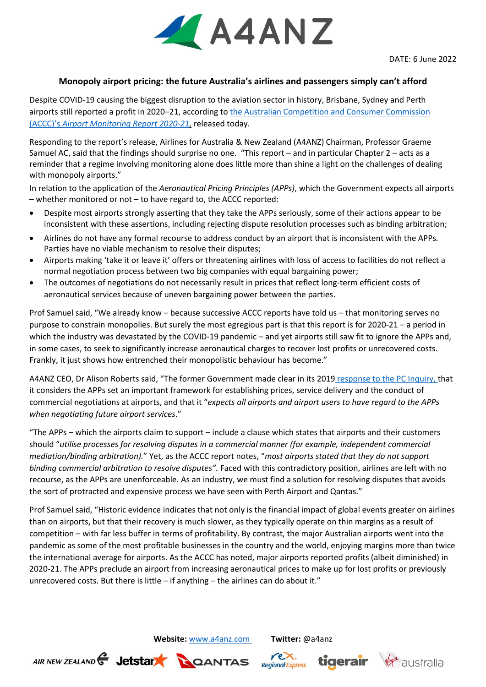

## **Monopoly airport pricing: the future Australia's airlines and passengers simply can't afford**

Despite COVID-19 causing the biggest disruption to the aviation sector in history, Brisbane, Sydney and Perth airports still reported a profit in 2020–21, according to [the Australian Competition and Consumer Commission](https://www.accc.gov.au/media-release/airports-suffered-during-2020-21-pandemic-but-most-still-made-a-profit)  (ACCC)'s *[Airport Monitoring Report 2020-21,](https://www.accc.gov.au/media-release/airports-suffered-during-2020-21-pandemic-but-most-still-made-a-profit)* released today.

Responding to the report's release, Airlines for Australia & New Zealand (A4ANZ) Chairman, Professor Graeme Samuel AC, said that the findings should surprise no one. "This report – and in particular Chapter 2 – acts as a reminder that a regime involving monitoring alone does little more than shine a light on the challenges of dealing with monopoly airports."

In relation to the application of the *Aeronautical Pricing Principles (APPs)*, which the Government expects all airports – whether monitored or not – to have regard to, the ACCC reported:

- Despite most airports strongly asserting that they take the APPs seriously, some of their actions appear to be inconsistent with these assertions, including rejecting dispute resolution processes such as binding arbitration;
- Airlines do not have any formal recourse to address conduct by an airport that is inconsistent with the APPs*.* Parties have no viable mechanism to resolve their disputes;
- Airports making 'take it or leave it' offers or threatening airlines with loss of access to facilities do not reflect a normal negotiation process between two big companies with equal bargaining power;
- The outcomes of negotiations do not necessarily result in prices that reflect long-term efficient costs of aeronautical services because of uneven bargaining power between the parties.

Prof Samuel said, "We already know – because successive ACCC reports have told us – that monitoring serves no purpose to constrain monopolies. But surely the most egregious part is that this report is for 2020-21 – a period in which the industry was devastated by the COVID-19 pandemic – and yet airports still saw fit to ignore the APPs and, in some cases, to seek to significantly increase aeronautical charges to recover lost profits or unrecovered costs. Frankly, it just shows how entrenched their monopolistic behaviour has become."

A4ANZ CEO, Dr Alison Roberts said, "The former Government made clear in its 2019 [response to the PC Inquiry,](http://treasury.gov.au/publication/p2019-41706) that it considers the APPs set an important framework for establishing prices, service delivery and the conduct of commercial negotiations at airports, and that it "*expects all airports and airport users to have regard to the APPs when negotiating future airport services*."

"The APPs – which the airports claim to support – include a clause which states that airports and their customers should "*utilise processes for resolving disputes in a commercial manner (for example, independent commercial mediation/binding arbitration).*" Yet, as the ACCC report notes, "*most airports stated that they do not support binding commercial arbitration to resolve disputes".* Faced with this contradictory position, airlines are left with no recourse, as the APPs are unenforceable. As an industry, we must find a solution for resolving disputes that avoids the sort of protracted and expensive process we have seen with Perth Airport and Qantas."

Prof Samuel said, "Historic evidence indicates that not only is the financial impact of global events greater on airlines than on airports, but that their recovery is much slower, as they typically operate on thin margins as a result of competition – with far less buffer in terms of profitability. By contrast, the major Australian airports went into the pandemic as some of the most profitable businesses in the country and the world, enjoying margins more than twice the international average for airports. As the ACCC has noted, major airports reported profits (albeit diminished) in 2020-21. The APPs preclude an airport from increasing aeronautical prices to make up for lost profits or previously unrecovered costs. But there is little  $-$  if anything  $-$  the airlines can do about it."

**Website:** [www.a4anz.com](http://www.a4anz.com/) **Twitter:** @a4anz